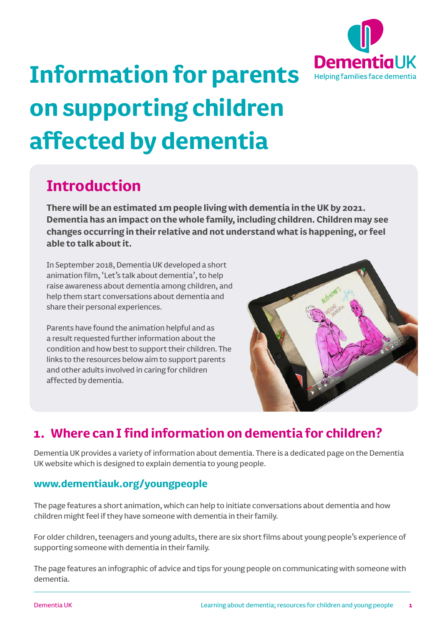

# **Information for parents on supporting children affected by dementia**

## **Introduction**

**There will be an estimated 1m people living with dementia in the UK by 2021. Dementia has an impact on the whole family, including children. Children may see changes occurring in their relative and not understand what is happening, or feel able to talk about it.** 

In September 2018, Dementia UK developed a short animation film, 'Let's talk about dementia', to help raise awareness about dementia among children, and help them start conversations about dementia and share their personal experiences.

Parents have found the animation helpful and as a result requested further information about the condition and how best to support their children. The links to the resources below aim to support parents and other adults involved in caring for children affected by dementia.



#### **1. Where can I find information on dementia for children?**

Dementia UK provides a variety of information about dementia. There is a dedicated page on the Dementia UK website which is designed to explain dementia to young people.

#### **www.dementiauk.org/youngpeople**

The page features a short animation, which can help to initiate conversations about dementia and how children might feel if they have someone with dementia in their family.

For older children, teenagers and young adults, there are six short films about young people's experience of supporting someone with dementia in their family.

The page features an infographic of advice and tips for young people on communicating with someone with dementia.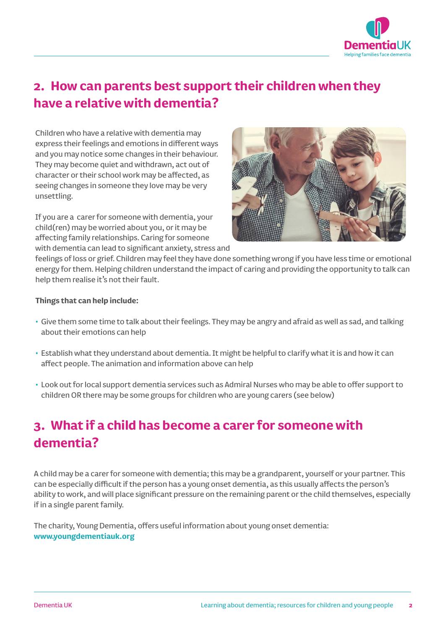

#### **2. How can parents best support their children when they have a relative with dementia?**

Children who have a relative with dementia may express their feelings and emotions in different ways and you may notice some changes in their behaviour. They may become quiet and withdrawn, act out of character or their school work may be affected, as seeing changes in someone they love may be very unsettling.

If you are a carer for someone with dementia, your child(ren) may be worried about you, or it may be affecting family relationships. Caring for someone with dementia can lead to significant anxiety, stress and



feelings of loss or grief. Children may feel they have done something wrong if you have less time or emotional energy for them. Helping children understand the impact of caring and providing the opportunity to talk can help them realise it's not their fault.

#### **Things that can help include:**

- Give them some time to talk about their feelings. They may be angry and afraid as well as sad, and talking about their emotions can help
- Establish what they understand about dementia. It might be helpful to clarify what it is and how it can affect people. The animation and information above can help
- Look out for local support dementia services such as Admiral Nurses who may be able to offer support to children OR there may be some groups for children who are young carers (see below)

### **3. What if a child has become a carer for someone with dementia?**

A child may be a carer for someone with dementia; this may be a grandparent, yourself or your partner. This can be especially difficult if the person has a young onset dementia, as this usually affects the person's ability to work, and will place significant pressure on the remaining parent or the child themselves, especially if in a single parent family.

The charity, Young Dementia, offers useful information about young onset dementia: **www.youngdementiauk.org**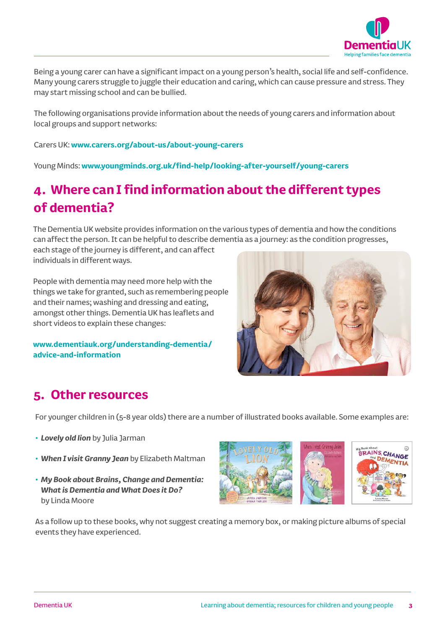

Being a young carer can have a significant impact on a young person's health, social life and self-confidence. Many young carers struggle to juggle their education and caring, which can cause pressure and stress. They may start missing school and can be bullied.

The following organisations provide information about the needs of young carers and information about local groups and support networks:

Carers UK: **www.carers.org/about-us/about-young-carers**

Young Minds: **www.youngminds.org.uk/find-help/looking-after-yourself/young-carers**

#### **4. Where can I find information about the different types of dementia?**

The Dementia UK website provides information on the various types of dementia and how the conditions can affect the person. It can be helpful to describe dementia as a journey: as the condition progresses, each stage of the journey is different, and can affect

individuals in different ways.

People with dementia may need more help with the things we take for granted, such as remembering people and their names; washing and dressing and eating, amongst other things. Dementia UK has leaflets and short videos to explain these changes:

**www.dementiauk.org/understanding-dementia/ advice-and-information**



#### **5. Other resources**

For younger children in (5-8 year olds) there are a number of illustrated books available. Some examples are:

- *Lovely old lion* by Julia Jarman
- *When I visit Granny Jean* by Elizabeth Maltman
- *My Book about Brains, Change and Dementia: What is Dementia and What Does it Do?* by Linda Moore



As a follow up to these books, why not suggest creating a memory box, or making picture albums of special events they have experienced.